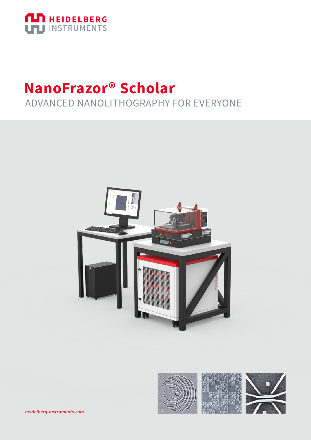

## **NanoFrazor® Scholar** ADVANCED NANOLITHOGRAPHY FOR EVERYONE



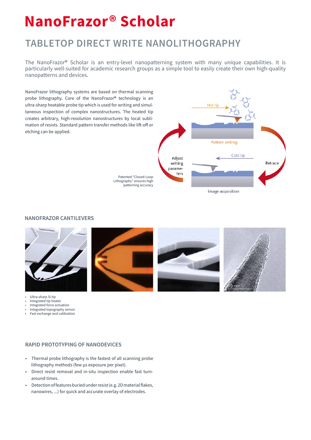# **NanoFrazor® Scholar**

### **TABLETOP DIRECT WRITE NANOLITHOGRAPHY**

The NanoFrazor® Scholar is an entry-level nanopatterning system with many unique capabilities. It is particularly well-suited for academic research groups as a simple tool to easily create their own high-quality nanopatterns and devices.

NanoFrazor lithography systems are based on thermal scanning probe lithography. Core of the NanoFrazor® technology is an ultra-sharp heatable probe tip which is used for writing and simultaneous inspection of complex nanostructures. The heated tip creates arbitrary, high-resolution nanostructures by local sublimation of resists. Standard pattern transfer methods like lift-off or etching can be applied.



Patented "Closed-Loop Lithography" ensures high patterning accuracy

#### **NANOFRAZOR CANTILEVERS**



• Ultra-sharp Si tip

- Integrated tip heater
- Integrated force actuation • Integrated topography sensor
- Fast exchange and calibration







#### **RAPID PROTOTYPING OF NANODEVICES**

- Thermal probe lithography is the fastest of all scanning probe lithography methods (few µs exposure per pixel).
- Direct resist removal and in-situ inspection enable fast turnaround times.
- Detection of features buried under resist (e.g. 2D material flakes, nanowires, ...) for quick and accurate overlay of electrodes.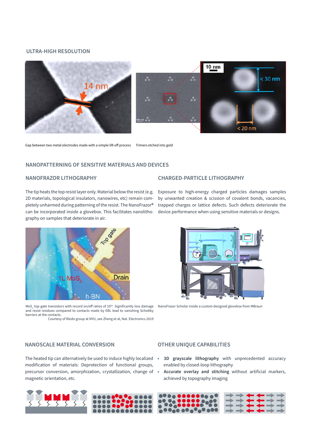#### **ULTRA-HIGH RESOLUTION**



Gap between two metal electrodes made with a simple lift-off process Trimers etched into gold

#### **NANOPATTERNING OF SENSITIVE MATERIALS AND DEVICES**

#### **NANOFRAZOR LITHOGRAPHY**

The tip heats the top resist layer only. Material below the resist (e.g. 2D materials, topological insulators, nanowires, etc) remain completely unharmed during patterning of the resist. The NanoFrazor® can be incorporated inside a glovebox. This facilitates nanolithography on samples that deteriorate in air.



MoS<sub>2</sub> top-gate transistors with record on/off ratios of 10<sup>10</sup>. Significantly less damage and resist residues compared to contacts made by EBL lead to vanishing Schottky barriers at the contacts.

Courtesy of Riedo group at NYU, see Zheng et al, Nat. Electronics 2019

#### **CHARGED-PARTICLE LITHOGRAPHY**

Exposure to high-energy charged particles damages samples by unwanted creation & scission of covalent bonds, vacancies, trapped charges or lattice defects. Such defects deteriorate the device performance when using sensitive materials or designs.



NanoFrazor Scholar inside a custom designed glovebox from MBraun

#### **NANOSCALE MATERIAL CONVERSION**

modification of materials: Deprotection of functional groups, precursor conversion, amorphization, crystallization, change of • magnetic orientation, etc.

#### **OTHER UNIQUE CAPABILITIES**

- The heated tip can alternatively be used to induce highly localized **3D grayscale lithography** with unprecedented accuracy enabled by closed-loop lithography
	- **Accurate overlay and stitching** without artificial markers, achieved by topography imaging